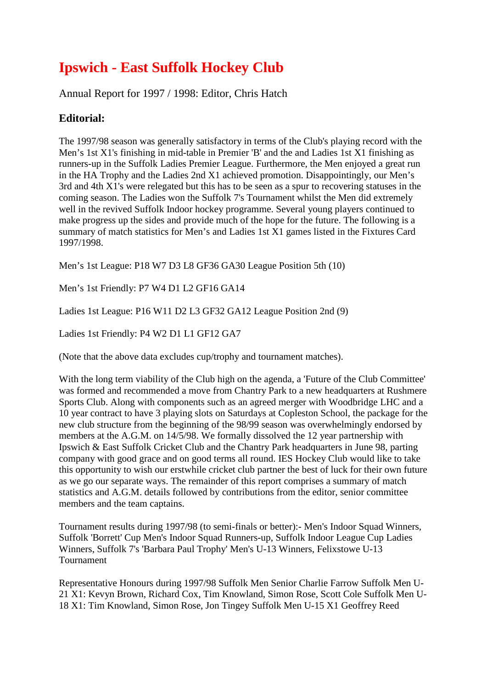# **Ipswich - East Suffolk Hockey Club**

Annual Report for 1997 / 1998: Editor, Chris Hatch

## **Editorial:**

The 1997/98 season was generally satisfactory in terms of the Club's playing record with the Men's 1st X1's finishing in mid-table in Premier 'B' and the and Ladies 1st X1 finishing as runners-up in the Suffolk Ladies Premier League. Furthermore, the Men enjoyed a great run in the HA Trophy and the Ladies 2nd X1 achieved promotion. Disappointingly, our Men's 3rd and 4th X1's were relegated but this has to be seen as a spur to recovering statuses in the coming season. The Ladies won the Suffolk 7's Tournament whilst the Men did extremely well in the revived Suffolk Indoor hockey programme. Several young players continued to make progress up the sides and provide much of the hope for the future. The following is a summary of match statistics for Men's and Ladies 1st X1 games listed in the Fixtures Card 1997/1998.

Men's 1st League: P18 W7 D3 L8 GF36 GA30 League Position 5th (10)

Men's 1st Friendly: P7 W4 D1 L2 GF16 GA14

Ladies 1st League: P16 W11 D2 L3 GF32 GA12 League Position 2nd (9)

Ladies 1st Friendly: P4 W2 D1 L1 GF12 GA7

(Note that the above data excludes cup/trophy and tournament matches).

With the long term viability of the Club high on the agenda, a 'Future of the Club Committee' was formed and recommended a move from Chantry Park to a new headquarters at Rushmere Sports Club. Along with components such as an agreed merger with Woodbridge LHC and a 10 year contract to have 3 playing slots on Saturdays at Copleston School, the package for the new club structure from the beginning of the 98/99 season was overwhelmingly endorsed by members at the A.G.M. on 14/5/98. We formally dissolved the 12 year partnership with Ipswich & East Suffolk Cricket Club and the Chantry Park headquarters in June 98, parting company with good grace and on good terms all round. IES Hockey Club would like to take this opportunity to wish our erstwhile cricket club partner the best of luck for their own future as we go our separate ways. The remainder of this report comprises a summary of match statistics and A.G.M. details followed by contributions from the editor, senior committee members and the team captains.

Tournament results during 1997/98 (to semi-finals or better):- Men's Indoor Squad Winners, Suffolk 'Borrett' Cup Men's Indoor Squad Runners-up, Suffolk Indoor League Cup Ladies Winners, Suffolk 7's 'Barbara Paul Trophy' Men's U-13 Winners, Felixstowe U-13 Tournament

Representative Honours during 1997/98 Suffolk Men Senior Charlie Farrow Suffolk Men U-21 X1: Kevyn Brown, Richard Cox, Tim Knowland, Simon Rose, Scott Cole Suffolk Men U-18 X1: Tim Knowland, Simon Rose, Jon Tingey Suffolk Men U-15 X1 Geoffrey Reed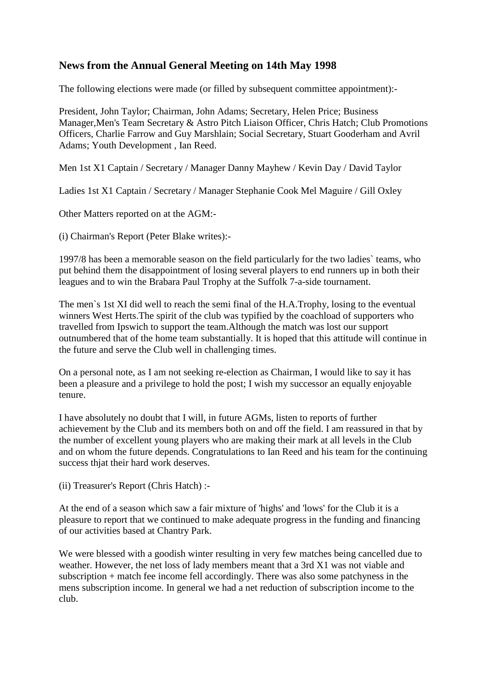## **News from the Annual General Meeting on 14th May 1998**

The following elections were made (or filled by subsequent committee appointment):-

President, John Taylor; Chairman, John Adams; Secretary, Helen Price; Business Manager,Men's Team Secretary & Astro Pitch Liaison Officer, Chris Hatch; Club Promotions Officers, Charlie Farrow and Guy Marshlain; Social Secretary, Stuart Gooderham and Avril Adams; Youth Development , Ian Reed.

Men 1st X1 Captain / Secretary / Manager Danny Mayhew / Kevin Day / David Taylor

Ladies 1st X1 Captain / Secretary / Manager Stephanie Cook Mel Maguire / Gill Oxley

Other Matters reported on at the AGM:-

(i) Chairman's Report (Peter Blake writes):-

1997/8 has been a memorable season on the field particularly for the two ladies` teams, who put behind them the disappointment of losing several players to end runners up in both their leagues and to win the Brabara Paul Trophy at the Suffolk 7-a-side tournament.

The men`s 1st XI did well to reach the semi final of the H.A.Trophy, losing to the eventual winners West Herts.The spirit of the club was typified by the coachload of supporters who travelled from Ipswich to support the team.Although the match was lost our support outnumbered that of the home team substantially. It is hoped that this attitude will continue in the future and serve the Club well in challenging times.

On a personal note, as I am not seeking re-election as Chairman, I would like to say it has been a pleasure and a privilege to hold the post; I wish my successor an equally enjoyable tenure.

I have absolutely no doubt that I will, in future AGMs, listen to reports of further achievement by the Club and its members both on and off the field. I am reassured in that by the number of excellent young players who are making their mark at all levels in the Club and on whom the future depends. Congratulations to Ian Reed and his team for the continuing success thjat their hard work deserves.

(ii) Treasurer's Report (Chris Hatch) :-

At the end of a season which saw a fair mixture of 'highs' and 'lows' for the Club it is a pleasure to report that we continued to make adequate progress in the funding and financing of our activities based at Chantry Park.

We were blessed with a goodish winter resulting in very few matches being cancelled due to weather. However, the net loss of lady members meant that a 3rd X1 was not viable and subscription + match fee income fell accordingly. There was also some patchyness in the mens subscription income. In general we had a net reduction of subscription income to the club.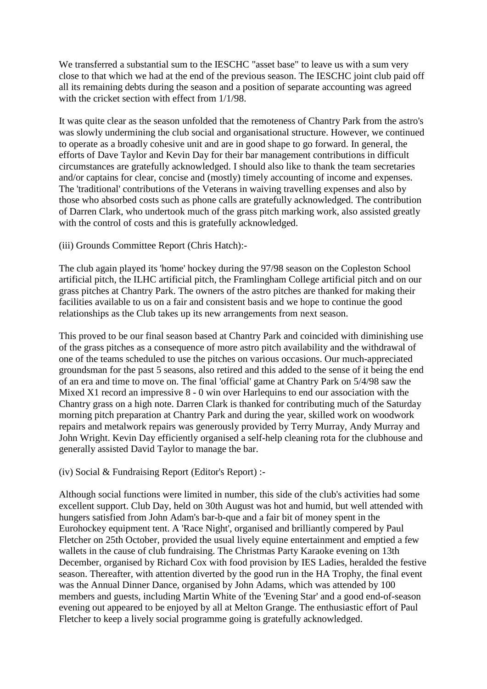We transferred a substantial sum to the IESCHC "asset base" to leave us with a sum very close to that which we had at the end of the previous season. The IESCHC joint club paid off all its remaining debts during the season and a position of separate accounting was agreed with the cricket section with effect from  $1/1/98$ .

It was quite clear as the season unfolded that the remoteness of Chantry Park from the astro's was slowly undermining the club social and organisational structure. However, we continued to operate as a broadly cohesive unit and are in good shape to go forward. In general, the efforts of Dave Taylor and Kevin Day for their bar management contributions in difficult circumstances are gratefully acknowledged. I should also like to thank the team secretaries and/or captains for clear, concise and (mostly) timely accounting of income and expenses. The 'traditional' contributions of the Veterans in waiving travelling expenses and also by those who absorbed costs such as phone calls are gratefully acknowledged. The contribution of Darren Clark, who undertook much of the grass pitch marking work, also assisted greatly with the control of costs and this is gratefully acknowledged.

(iii) Grounds Committee Report (Chris Hatch):-

The club again played its 'home' hockey during the 97/98 season on the Copleston School artificial pitch, the ILHC artificial pitch, the Framlingham College artificial pitch and on our grass pitches at Chantry Park. The owners of the astro pitches are thanked for making their facilities available to us on a fair and consistent basis and we hope to continue the good relationships as the Club takes up its new arrangements from next season.

This proved to be our final season based at Chantry Park and coincided with diminishing use of the grass pitches as a consequence of more astro pitch availability and the withdrawal of one of the teams scheduled to use the pitches on various occasions. Our much-appreciated groundsman for the past 5 seasons, also retired and this added to the sense of it being the end of an era and time to move on. The final 'official' game at Chantry Park on 5/4/98 saw the Mixed X1 record an impressive 8 - 0 win over Harlequins to end our association with the Chantry grass on a high note. Darren Clark is thanked for contributing much of the Saturday morning pitch preparation at Chantry Park and during the year, skilled work on woodwork repairs and metalwork repairs was generously provided by Terry Murray, Andy Murray and John Wright. Kevin Day efficiently organised a self-help cleaning rota for the clubhouse and generally assisted David Taylor to manage the bar.

(iv) Social & Fundraising Report (Editor's Report) :-

Although social functions were limited in number, this side of the club's activities had some excellent support. Club Day, held on 30th August was hot and humid, but well attended with hungers satisfied from John Adam's bar-b-que and a fair bit of money spent in the Eurohockey equipment tent. A 'Race Night', organised and brilliantly compered by Paul Fletcher on 25th October, provided the usual lively equine entertainment and emptied a few wallets in the cause of club fundraising. The Christmas Party Karaoke evening on 13th December, organised by Richard Cox with food provision by IES Ladies, heralded the festive season. Thereafter, with attention diverted by the good run in the HA Trophy, the final event was the Annual Dinner Dance, organised by John Adams, which was attended by 100 members and guests, including Martin White of the 'Evening Star' and a good end-of-season evening out appeared to be enjoyed by all at Melton Grange. The enthusiastic effort of Paul Fletcher to keep a lively social programme going is gratefully acknowledged.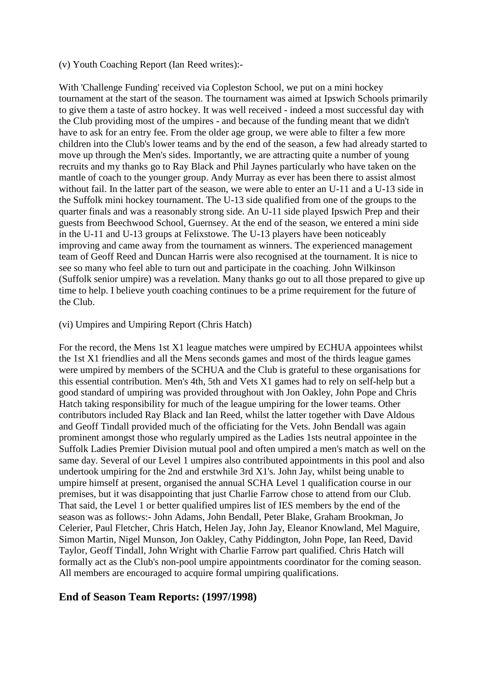#### (v) Youth Coaching Report (Ian Reed writes):-

With 'Challenge Funding' received via Copleston School, we put on a mini hockey tournament at the start of the season. The tournament was aimed at Ipswich Schools primarily to give them a taste of astro hockey. It was well received - indeed a most successful day with the Club providing most of the umpires - and because of the funding meant that we didn't have to ask for an entry fee. From the older age group, we were able to filter a few more children into the Club's lower teams and by the end of the season, a few had already started to move up through the Men's sides. Importantly, we are attracting quite a number of young recruits and my thanks go to Ray Black and Phil Jaynes particularly who have taken on the mantle of coach to the younger group. Andy Murray as ever has been there to assist almost without fail. In the latter part of the season, we were able to enter an U-11 and a U-13 side in the Suffolk mini hockey tournament. The U-13 side qualified from one of the groups to the quarter finals and was a reasonably strong side. An U-11 side played Ipswich Prep and their guests from Beechwood School, Guernsey. At the end of the season, we entered a mini side in the U-11 and U-13 groups at Felixstowe. The U-13 players have been noticeably improving and came away from the tournament as winners. The experienced management team of Geoff Reed and Duncan Harris were also recognised at the tournament. It is nice to see so many who feel able to turn out and participate in the coaching. John Wilkinson (Suffolk senior umpire) was a revelation. Many thanks go out to all those prepared to give up time to help. I believe youth coaching continues to be a prime requirement for the future of the Club.

#### (vi) Umpires and Umpiring Report (Chris Hatch)

For the record, the Mens 1st X1 league matches were umpired by ECHUA appointees whilst the 1st X1 friendlies and all the Mens seconds games and most of the thirds league games were umpired by members of the SCHUA and the Club is grateful to these organisations for this essential contribution. Men's 4th, 5th and Vets X1 games had to rely on self-help but a good standard of umpiring was provided throughout with Jon Oakley, John Pope and Chris Hatch taking responsibility for much of the league umpiring for the lower teams. Other contributors included Ray Black and Ian Reed, whilst the latter together with Dave Aldous and Geoff Tindall provided much of the officiating for the Vets. John Bendall was again prominent amongst those who regularly umpired as the Ladies 1sts neutral appointee in the Suffolk Ladies Premier Division mutual pool and often umpired a men's match as well on the same day. Several of our Level 1 umpires also contributed appointments in this pool and also undertook umpiring for the 2nd and erstwhile 3rd X1's. John Jay, whilst being unable to umpire himself at present, organised the annual SCHA Level 1 qualification course in our premises, but it was disappointing that just Charlie Farrow chose to attend from our Club. That said, the Level 1 or better qualified umpires list of IES members by the end of the season was as follows:- John Adams, John Bendall, Peter Blake, Graham Brookman, Jo Celerier, Paul Fletcher, Chris Hatch, Helen Jay, John Jay, Eleanor Knowland, Mel Maguire, Simon Martin, Nigel Munson, Jon Oakley, Cathy Piddington, John Pope, Ian Reed, David Taylor, Geoff Tindall, John Wright with Charlie Farrow part qualified. Chris Hatch will formally act as the Club's non-pool umpire appointments coordinator for the coming season. All members are encouraged to acquire formal umpiring qualifications.

### **End of Season Team Reports: (1997/1998)**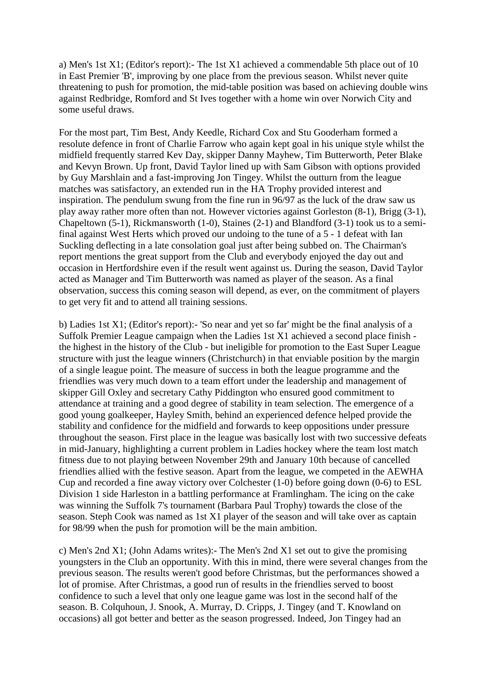a) Men's 1st X1; (Editor's report):- The 1st X1 achieved a commendable 5th place out of 10 in East Premier 'B', improving by one place from the previous season. Whilst never quite threatening to push for promotion, the mid-table position was based on achieving double wins against Redbridge, Romford and St Ives together with a home win over Norwich City and some useful draws.

For the most part, Tim Best, Andy Keedle, Richard Cox and Stu Gooderham formed a resolute defence in front of Charlie Farrow who again kept goal in his unique style whilst the midfield frequently starred Kev Day, skipper Danny Mayhew, Tim Butterworth, Peter Blake and Kevyn Brown. Up front, David Taylor lined up with Sam Gibson with options provided by Guy Marshlain and a fast-improving Jon Tingey. Whilst the outturn from the league matches was satisfactory, an extended run in the HA Trophy provided interest and inspiration. The pendulum swung from the fine run in 96/97 as the luck of the draw saw us play away rather more often than not. However victories against Gorleston (8-1), Brigg (3-1), Chapeltown (5-1), Rickmansworth (1-0), Staines (2-1) and Blandford (3-1) took us to a semifinal against West Herts which proved our undoing to the tune of a 5 - 1 defeat with Ian Suckling deflecting in a late consolation goal just after being subbed on. The Chairman's report mentions the great support from the Club and everybody enjoyed the day out and occasion in Hertfordshire even if the result went against us. During the season, David Taylor acted as Manager and Tim Butterworth was named as player of the season. As a final observation, success this coming season will depend, as ever, on the commitment of players to get very fit and to attend all training sessions.

b) Ladies 1st X1; (Editor's report):- 'So near and yet so far' might be the final analysis of a Suffolk Premier League campaign when the Ladies 1st X1 achieved a second place finish the highest in the history of the Club - but ineligible for promotion to the East Super League structure with just the league winners (Christchurch) in that enviable position by the margin of a single league point. The measure of success in both the league programme and the friendlies was very much down to a team effort under the leadership and management of skipper Gill Oxley and secretary Cathy Piddington who ensured good commitment to attendance at training and a good degree of stability in team selection. The emergence of a good young goalkeeper, Hayley Smith, behind an experienced defence helped provide the stability and confidence for the midfield and forwards to keep oppositions under pressure throughout the season. First place in the league was basically lost with two successive defeats in mid-January, highlighting a current problem in Ladies hockey where the team lost match fitness due to not playing between November 29th and January 10th because of cancelled friendlies allied with the festive season. Apart from the league, we competed in the AEWHA Cup and recorded a fine away victory over Colchester (1-0) before going down (0-6) to ESL Division 1 side Harleston in a battling performance at Framlingham. The icing on the cake was winning the Suffolk 7's tournament (Barbara Paul Trophy) towards the close of the season. Steph Cook was named as 1st X1 player of the season and will take over as captain for 98/99 when the push for promotion will be the main ambition.

c) Men's 2nd X1; (John Adams writes):- The Men's 2nd X1 set out to give the promising youngsters in the Club an opportunity. With this in mind, there were several changes from the previous season. The results weren't good before Christmas, but the performances showed a lot of promise. After Christmas, a good run of results in the friendlies served to boost confidence to such a level that only one league game was lost in the second half of the season. B. Colquhoun, J. Snook, A. Murray, D. Cripps, J. Tingey (and T. Knowland on occasions) all got better and better as the season progressed. Indeed, Jon Tingey had an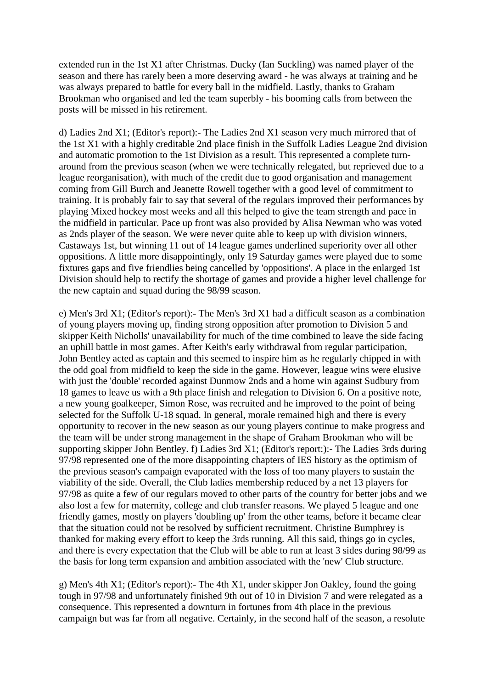extended run in the 1st X1 after Christmas. Ducky (Ian Suckling) was named player of the season and there has rarely been a more deserving award - he was always at training and he was always prepared to battle for every ball in the midfield. Lastly, thanks to Graham Brookman who organised and led the team superbly - his booming calls from between the posts will be missed in his retirement.

d) Ladies 2nd X1; (Editor's report):- The Ladies 2nd X1 season very much mirrored that of the 1st X1 with a highly creditable 2nd place finish in the Suffolk Ladies League 2nd division and automatic promotion to the 1st Division as a result. This represented a complete turnaround from the previous season (when we were technically relegated, but reprieved due to a league reorganisation), with much of the credit due to good organisation and management coming from Gill Burch and Jeanette Rowell together with a good level of commitment to training. It is probably fair to say that several of the regulars improved their performances by playing Mixed hockey most weeks and all this helped to give the team strength and pace in the midfield in particular. Pace up front was also provided by Alisa Newman who was voted as 2nds player of the season. We were never quite able to keep up with division winners, Castaways 1st, but winning 11 out of 14 league games underlined superiority over all other oppositions. A little more disappointingly, only 19 Saturday games were played due to some fixtures gaps and five friendlies being cancelled by 'oppositions'. A place in the enlarged 1st Division should help to rectify the shortage of games and provide a higher level challenge for the new captain and squad during the 98/99 season.

e) Men's 3rd X1; (Editor's report):- The Men's 3rd X1 had a difficult season as a combination of young players moving up, finding strong opposition after promotion to Division 5 and skipper Keith Nicholls' unavailability for much of the time combined to leave the side facing an uphill battle in most games. After Keith's early withdrawal from regular participation, John Bentley acted as captain and this seemed to inspire him as he regularly chipped in with the odd goal from midfield to keep the side in the game. However, league wins were elusive with just the 'double' recorded against Dunmow 2nds and a home win against Sudbury from 18 games to leave us with a 9th place finish and relegation to Division 6. On a positive note, a new young goalkeeper, Simon Rose, was recruited and he improved to the point of being selected for the Suffolk U-18 squad. In general, morale remained high and there is every opportunity to recover in the new season as our young players continue to make progress and the team will be under strong management in the shape of Graham Brookman who will be supporting skipper John Bentley. f) Ladies 3rd X1; (Editor's report:):- The Ladies 3rds during 97/98 represented one of the more disappointing chapters of IES history as the optimism of the previous season's campaign evaporated with the loss of too many players to sustain the viability of the side. Overall, the Club ladies membership reduced by a net 13 players for 97/98 as quite a few of our regulars moved to other parts of the country for better jobs and we also lost a few for maternity, college and club transfer reasons. We played 5 league and one friendly games, mostly on players 'doubling up' from the other teams, before it became clear that the situation could not be resolved by sufficient recruitment. Christine Bumphrey is thanked for making every effort to keep the 3rds running. All this said, things go in cycles, and there is every expectation that the Club will be able to run at least 3 sides during 98/99 as the basis for long term expansion and ambition associated with the 'new' Club structure.

g) Men's 4th X1; (Editor's report):- The 4th X1, under skipper Jon Oakley, found the going tough in 97/98 and unfortunately finished 9th out of 10 in Division 7 and were relegated as a consequence. This represented a downturn in fortunes from 4th place in the previous campaign but was far from all negative. Certainly, in the second half of the season, a resolute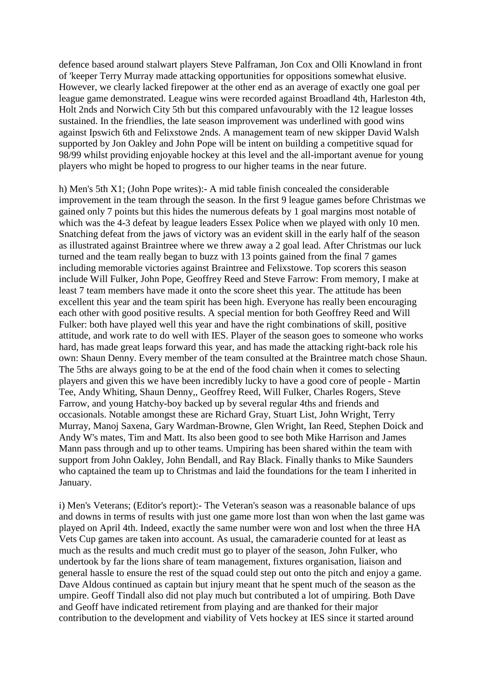defence based around stalwart players Steve Palframan, Jon Cox and Olli Knowland in front of 'keeper Terry Murray made attacking opportunities for oppositions somewhat elusive. However, we clearly lacked firepower at the other end as an average of exactly one goal per league game demonstrated. League wins were recorded against Broadland 4th, Harleston 4th, Holt 2nds and Norwich City 5th but this compared unfavourably with the 12 league losses sustained. In the friendlies, the late season improvement was underlined with good wins against Ipswich 6th and Felixstowe 2nds. A management team of new skipper David Walsh supported by Jon Oakley and John Pope will be intent on building a competitive squad for 98/99 whilst providing enjoyable hockey at this level and the all-important avenue for young players who might be hoped to progress to our higher teams in the near future.

h) Men's 5th X1; (John Pope writes):- A mid table finish concealed the considerable improvement in the team through the season. In the first 9 league games before Christmas we gained only 7 points but this hides the numerous defeats by 1 goal margins most notable of which was the 4-3 defeat by league leaders Essex Police when we played with only 10 men. Snatching defeat from the jaws of victory was an evident skill in the early half of the season as illustrated against Braintree where we threw away a 2 goal lead. After Christmas our luck turned and the team really began to buzz with 13 points gained from the final 7 games including memorable victories against Braintree and Felixstowe. Top scorers this season include Will Fulker, John Pope, Geoffrey Reed and Steve Farrow: From memory, I make at least 7 team members have made it onto the score sheet this year. The attitude has been excellent this year and the team spirit has been high. Everyone has really been encouraging each other with good positive results. A special mention for both Geoffrey Reed and Will Fulker: both have played well this year and have the right combinations of skill, positive attitude, and work rate to do well with IES. Player of the season goes to someone who works hard, has made great leaps forward this year, and has made the attacking right-back role his own: Shaun Denny. Every member of the team consulted at the Braintree match chose Shaun. The 5ths are always going to be at the end of the food chain when it comes to selecting players and given this we have been incredibly lucky to have a good core of people - Martin Tee, Andy Whiting, Shaun Denny,, Geoffrey Reed, Will Fulker, Charles Rogers, Steve Farrow, and young Hatchy-boy backed up by several regular 4ths and friends and occasionals. Notable amongst these are Richard Gray, Stuart List, John Wright, Terry Murray, Manoj Saxena, Gary Wardman-Browne, Glen Wright, Ian Reed, Stephen Doick and Andy W's mates, Tim and Matt. Its also been good to see both Mike Harrison and James Mann pass through and up to other teams. Umpiring has been shared within the team with support from John Oakley, John Bendall, and Ray Black. Finally thanks to Mike Saunders who captained the team up to Christmas and laid the foundations for the team I inherited in January.

i) Men's Veterans; (Editor's report):- The Veteran's season was a reasonable balance of ups and downs in terms of results with just one game more lost than won when the last game was played on April 4th. Indeed, exactly the same number were won and lost when the three HA Vets Cup games are taken into account. As usual, the camaraderie counted for at least as much as the results and much credit must go to player of the season, John Fulker, who undertook by far the lions share of team management, fixtures organisation, liaison and general hassle to ensure the rest of the squad could step out onto the pitch and enjoy a game. Dave Aldous continued as captain but injury meant that he spent much of the season as the umpire. Geoff Tindall also did not play much but contributed a lot of umpiring. Both Dave and Geoff have indicated retirement from playing and are thanked for their major contribution to the development and viability of Vets hockey at IES since it started around